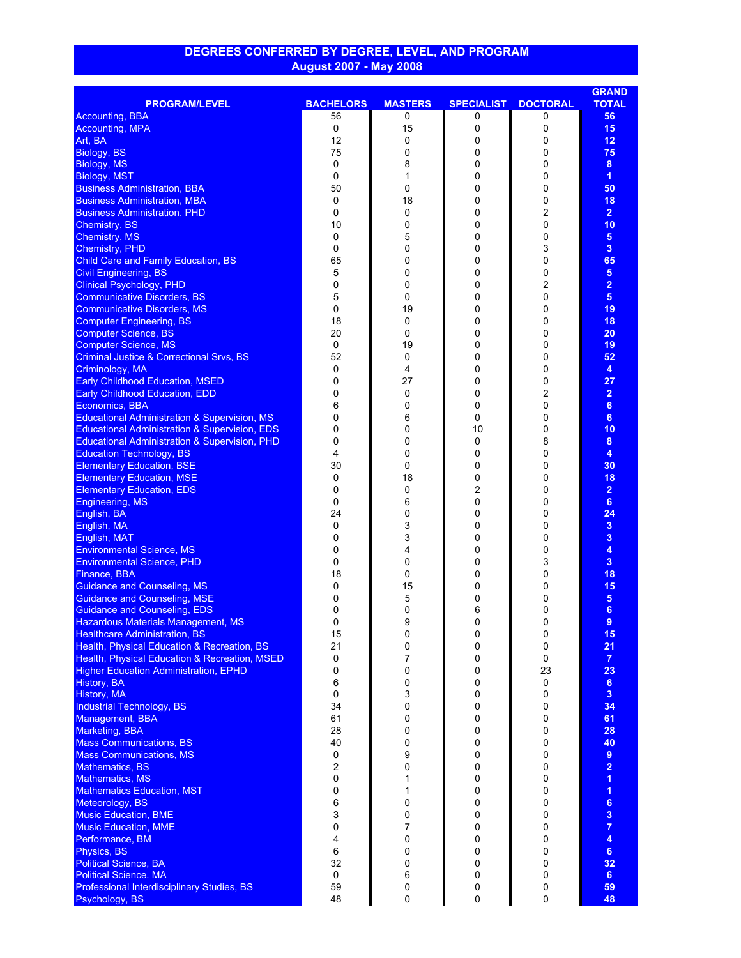## **DEGREES CONFERRED BY DEGREE, LEVEL, AND PROGRAM August 2007 - May 2008**

|                                                                           |                  |                |                   |                 | <b>GRAND</b>            |
|---------------------------------------------------------------------------|------------------|----------------|-------------------|-----------------|-------------------------|
| <b>PROGRAM/LEVEL</b>                                                      | <b>BACHELORS</b> | <b>MASTERS</b> | <b>SPECIALIST</b> | <b>DOCTORAL</b> | <b>TOTAL</b>            |
| <b>Accounting, BBA</b>                                                    | 56               | 0              | 0                 | 0               | 56                      |
| <b>Accounting, MPA</b>                                                    | 0                | 15             | 0                 | 0               | 15                      |
| Art, BA                                                                   | 12               | 0              | 0                 | 0               | 12 <sub>2</sub>         |
| Biology, BS                                                               | 75               | 0              | 0                 | 0               | 75                      |
| Biology, MS                                                               | 0                | 8              | 0                 | 0               | 8                       |
| Biology, MST                                                              | 0                | 1              | 0                 | 0               | $\overline{1}$          |
| <b>Business Administration, BBA</b>                                       | 50               | 0              | 0                 | 0               | 50                      |
| <b>Business Administration, MBA</b>                                       | 0                | 18             | 0                 | 0               | 18                      |
| <b>Business Administration, PHD</b>                                       | 0                | 0              | 0                 | 2               | $\overline{2}$          |
| <b>Chemistry, BS</b>                                                      | 10               | 0              | 0                 | 0               | 10                      |
| <b>Chemistry, MS</b>                                                      | 0                | 5              | 0                 | 0               | $5\phantom{.0}$         |
| Chemistry, PHD                                                            | 0                | 0              | 0                 | 3               | 3 <sup>2</sup>          |
| <b>Child Care and Family Education, BS</b>                                | 65               | 0              | 0                 | 0               | 65                      |
| <b>Civil Engineering, BS</b>                                              | 5                | 0              | 0                 | 0               | 5 <sub>5</sub>          |
| <b>Clinical Psychology, PHD</b>                                           | 0                | 0              | 0                 | 2               | $\overline{2}$          |
| <b>Communicative Disorders, BS</b>                                        | 5                | 0              | 0                 | 0               | 5 <sub>5</sub>          |
| <b>Communicative Disorders, MS</b>                                        | 0                | 19             | 0                 | 0               | 19                      |
| <b>Computer Engineering, BS</b>                                           | 18               | 0              | 0                 | 0               | 18                      |
| <b>Computer Science, BS</b>                                               | 20               | 0              | 0                 | 0               | 20                      |
| <b>Computer Science, MS</b>                                               | 0                | 19             | 0                 | 0               | 19                      |
| <b>Criminal Justice &amp; Correctional Srvs, BS</b>                       | 52               | 0              | 0                 | 0               | 52                      |
| Criminology, MA                                                           | 0                | 4              | 0                 | 0               | $\overline{\mathbf{4}}$ |
| <b>Early Childhood Education, MSED</b>                                    | 0                | 27             | 0                 | 0               | 27                      |
| <b>Early Childhood Education, EDD</b>                                     | 0                |                | 0                 | 2               | $\overline{2}$          |
|                                                                           | 6                | 0<br>0         | 0                 | 0               | $6\phantom{a}$          |
| Economics, BBA<br><b>Educational Administration &amp; Supervision, MS</b> |                  |                |                   |                 | 6                       |
|                                                                           | 0                | 6              | 0                 | 0               |                         |
| <b>Educational Administration &amp; Supervision, EDS</b>                  | 0                | 0              | 10                | 0               | 10                      |
| <b>Educational Administration &amp; Supervision, PHD</b>                  | 0                | 0              | 0                 | 8               | 8                       |
| <b>Education Technology, BS</b>                                           | 4                | 0              | 0                 | 0               | 4                       |
| <b>Elementary Education, BSE</b>                                          | 30               | 0              | 0                 | 0               | 30                      |
| <b>Elementary Education, MSE</b>                                          | 0                | 18             | 0                 | 0               | 18                      |
| <b>Elementary Education, EDS</b>                                          | 0                | 0              | 2                 | 0               | $\overline{2}$          |
| <b>Engineering, MS</b>                                                    | 0                | 6              | 0                 | 0               | $6\phantom{a}$          |
| English, BA                                                               | 24               | 0              | 0                 | 0               | 24                      |
| English, MA                                                               | 0                | 3              | 0                 | 0               | 3 <sup>5</sup>          |
| English, MAT                                                              | 0                | 3              | 0                 | 0               | 3                       |
| <b>Environmental Science, MS</b>                                          | 0                | 4              | 0                 | 0               | 4                       |
| <b>Environmental Science, PHD</b>                                         | 0                | 0              | 0                 | 3               | 3                       |
| Finance, BBA                                                              | 18               | 0              | 0                 | 0               | 18                      |
| <b>Guidance and Counseling, MS</b>                                        | 0                | 15             | 0                 | 0               | 15                      |
| <b>Guidance and Counseling, MSE</b>                                       | 0                | 5              | 0                 | 0               | 5                       |
| <b>Guidance and Counseling, EDS</b>                                       | 0                | 0              | 6                 | 0               | 6                       |
| <b>Hazardous Materials Management, MS</b>                                 | 0                | 9              | 0                 | 0               | 9                       |
| <b>Healthcare Administration, BS</b>                                      | 15               | 0              | 0                 | 0               | 15                      |
| Health, Physical Education & Recreation, BS                               | 21               | 0              | 0                 | 0               | 21                      |
| Health, Physical Education & Recreation, MSED                             | 0                | 7              | 0                 | 0               | $\overline{7}$          |
| <b>Higher Education Administration, EPHD</b>                              | 0                | 0              | $\Omega$          | 23              | 23                      |
| History, BA                                                               | 6                | 0              | 0                 | 0               | 6 <sup>1</sup>          |
| History, MA                                                               | 0                | 3              | 0                 | 0               | 3 <sup>2</sup>          |
| <b>Industrial Technology, BS</b>                                          | 34               | 0              | 0                 | 0               | 34                      |
| Management, BBA                                                           | 61               | 0              | 0                 | 0               | 61                      |
| Marketing, BBA                                                            | 28               | 0              | 0                 | 0               | 28                      |
| <b>Mass Communications, BS</b>                                            | 40               | 0              | 0                 | 0               | 40                      |
| <b>Mass Communications, MS</b>                                            | 0                | 9              | 0                 | 0               | $9\,$                   |
| <b>Mathematics, BS</b>                                                    | 2                | 0              | 0                 | 0               | $\overline{2}$          |
| <b>Mathematics, MS</b>                                                    | 0                | 1              | 0                 | 0               | $\overline{1}$          |
| <b>Mathematics Education, MST</b>                                         | 0                | 1              | 0                 | 0               | $\overline{1}$          |
| Meteorology, BS                                                           | 6                | 0              | 0                 | 0               | 6                       |
| <b>Music Education, BME</b>                                               | 3                | 0              | 0                 | 0               | 3                       |
| <b>Music Education, MME</b>                                               | 0                | 7              | 0                 | 0               | $\overline{7}$          |
| Performance, BM                                                           | 4                | 0              | 0                 | 0               | 4                       |
| Physics, BS                                                               | 6                | 0              | 0                 | 0               | 6 <sup>1</sup>          |
| <b>Political Science, BA</b>                                              | 32               | 0              | 0                 | 0               | 32                      |
| <b>Political Science. MA</b>                                              | 0                | 6              | 0                 | 0               | 6 <sup>1</sup>          |
| Professional Interdisciplinary Studies, BS                                | 59               | 0              | 0                 | 0               | 59                      |
| Psychology, BS                                                            | 48               | 0              | 0                 | 0               | 48                      |